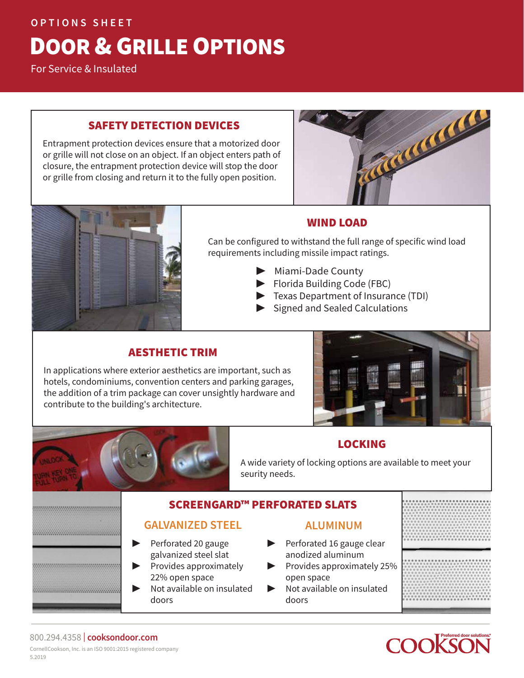### **OPTIONS SHEET**

# DOOR & GRILLE OPTIONS

For Service & Insulated

### SAFETY DETECTION DEVICES

Entrapment protection devices ensure that a motorized door or grille will not close on an object. If an object enters path of closure, the entrapment protection device will stop the door or grille from closing and return it to the fully open position.





# WIND LOAD

Can be configured to withstand the full range of specific wind load requirements including missile impact ratings.

- ▶ Miami-Dade County
- ▶ Florida Building Code (FBC)
- ▶ Texas Department of Insurance (TDI)
- ▶ Signed and Sealed Calculations

# AESTHETIC TRIM

In applications where exterior aesthetics are important, such as hotels, condominiums, convention centers and parking garages, the addition of a trim package can cover unsightly hardware and contribute to the building's architecture.



# LOCKING

A wide variety of locking options are available to meet your seurity needs.

# SCREENGARD™ PERFORATED SLATS

# **GALVANIZED STEEL** ▶ Perforated 20 gauge

galvanized steel slat ▶ Provides approximately

▶ Not available on insulated

22% open space

doors

- **ALUMINUM**
- Perforated 16 gauge clear anodized aluminum
	- ▶ Provides approximately 25% open space
	- ▶ Not available on insulated doors



#### 800.294.4358 | **cooksondoor.com** CornellCookson, Inc. is an ISO 9001:2015 registered company 5.2019